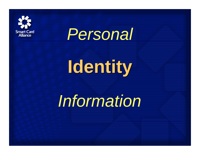



# **Identity Identity**

# *Information*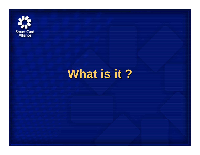

## **What is it ? What is it ?**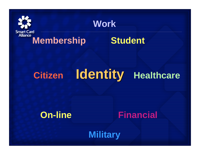

#### **Work**

#### **Membership Student**

## **Citizen Identity Identity Healthcare**



**Military**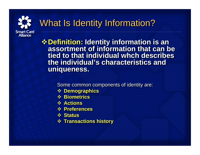

### What Is Identity Information?

**Definition: Identity information is an Definition: Identity information is an assortment of information that can be assortment of information that can be tied to that individual whch describes tied to that individual whch describes the individual's characteristics and the individual's characteristics and uniqueness. uniqueness.** 

Some common components of identity are: Some common components of identity are:

- **Demographics Demographics**
- **Biometrics Biometrics**
- **Actions Actions**
- **Preferences Preferences**
- **Status Status**
- **Transactions history Transactions history**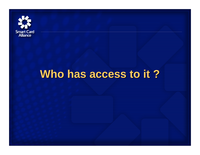

## **Who has access to it ? Who has access to it ?**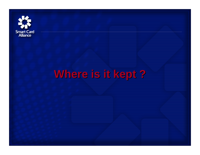

## **Where is it kept ? Where is it kept ?**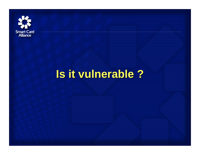

## **Is it vulnerable ? Is it vulnerable ?**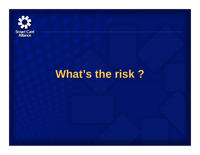

## **What's the risk ? What's the risk ?**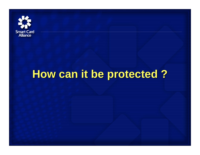

## **How can it be protected ? How can it be protected ?**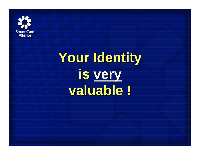

# **Your Identity Your Identity is very is very valuable ! valuable !**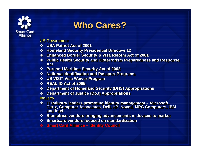

#### **Who Cares? Who Cares?**

- US Government US Government
- **USA Patriot Act of 2001 USA Patriot Act of 2001**
- **Homeland Security Presidential Directive 12 Homeland Security Presidential Directive 12**
- **Enhanced Border Security & Visa Reform Act of 2001 Enhanced Border Security & Visa Reform Act of 2001**
- **Public Health Securit y and Bioterrorism Preparedness and Response Public Health Securit y and Bioterrorism Preparedness and Response Act Act**
- **Port and Maritime Security Act of 2002 Port and Maritime Security Act of 2002**
- **National Identification and Pas sport Programs National Identification and Pas sport Programs**
- **US VISIT Visa Waiver Program US VISIT Visa Waiver Program**
- **REAL ID Act of 2005 REAL ID Act of 2005**
- **Department of Homeland Sec urity (DHS) Appropriations Department of Homeland Sec urity (DHS) Appropriations**
- **Department of Justice (DoJ) Appropriations Department of Justice (DoJ) Appropriations**

Industry Industry

- **IT Industry leaders promoting identity management - Microsoft, Citrix, Computer Associates, Dell, H P, Novell, MPC C omputers, IBM and Intel and Intel IT Industry leaders promoting identity management - Microsoft, Citrix, Computer Associates, Dell, H P, Novell, MPC C omputers, IBM**
- **Biometrics vendors bringing advancements in devices to market Biometrics vendors bringing advancements in devices to market**
- **Smartcard vendors focused on standardization Smartcard vendors focused on standardization**
- **Smart Card Alliance – Identity Council Smart Card Alliance – Identity Council**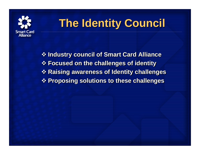

## **The Identity Council The Identity Council**

 **Industry council of Smart Card Alliance Industry council of Smart Card Alliance Focused on the challenges of identity Focused on the challenges of identity Raising awareness of Identity challenges Raising awareness of Identity challenges Proposing solutions to these challenges Proposing solutions to these challenges**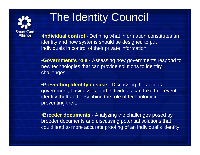

## The Identity Council

•**Individual control** - Defining what information constitutes an identity and how systems should be designed to put individuals in control of their private information.

•**Government's role** - Assessing how governments respond to new technologies that can provide solutions to identity challenges.

•**Preventing Identity misuse** - Discus sing the actions government, businesses, and individuals can take to prevent identity theft and describing the role of technology in preventing theft.

•**Breeder documents** - Analyzing the challenges posed by breeder documents and discus sing potential solutions that could lead to more accurate proofing of an individual's identity.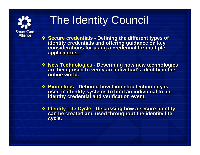

## The Identity Council

 **Secure credentials - Defining the different types of identity credentials and offering guidance on key considerations for using a credential for multiple considerations for using a credential for multiple applications. applications. <sup>◆</sup> Secure credentials - Defining the different types of identity credentials and offering guidance on key** 

- **New Technologies -Describing how new technologies New Technologies - Describing how new technologies are being used to verify an individual's identity in the are being used to verify an individual's identity in the online world.online world.**
- **Biometrics -Defining how biometric technology is Biometrics - Defining how biometric technology is used in identity systems to bind an individual to an identity credential and verification event. used in identity systems to bind an individual to an identity credential and verification event.**
- **Identity Life Cycle - Discussing how a secure identity can be created and used throughout the i dentity life cycle. cycle.<b>↑ Identity Life Cycle - Discussing how a secure identity can be created and used throughout the i dentity life**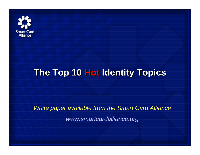

#### **The Top 10 The Top 10 Hot Identity Topics Identity Topics**

*White paper available from the Smart Card Alliance www.smartcardalliance.org*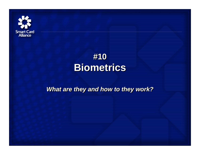

### **#10 #10 Biometrics Biometrics**

*What are they and how to they work? What are they and how to they work?*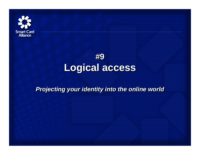

#### **#9 #9 Logical access Logical access**

#### *Projecting your identity into the online world Projecting your identity into the online world*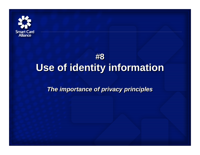

#### **#8 #8 Use of identity information Use of identity information**

*The importance of privacy principles The importance of privacy principles*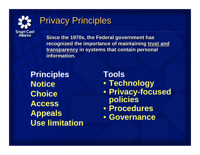

#### **Privacy Principles**

**Since the 1970s, the Federal government has Since the 1970s, the Federal government has recognized the importance of maintaining trust and recognized the importance of maintaining trust and transparency in systems that contain personal transparency in systems that contain personal information.information.**

**Principle s NoticeChoice AccessAppeals Use limitation** **Tools**• **Technology**  • **Privacy-focused policies**  • **Procedures**• **Governance**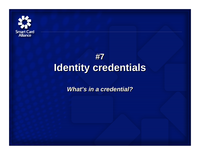

#### **#7#7 Identity credentials Identity credentials**

*What's in a credential?What's in a credential?*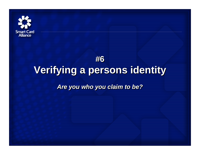

## **#6 #6 Verifying a persons identity Verifying a persons identity** *Are you who you claim to be? Are you who you claim to be?*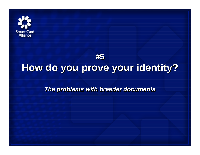

#### **#5 #5 How do you prove your identity? How do you prove your identity?**

*The problems with breeder documents The problems with breeder documents*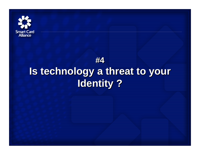

### **#4#4 Is technology a threat to your Is technology a threat to your Identity ? Identity ?**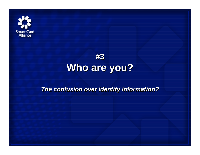



#### *The confusion over identity information? The confusion over identity information?*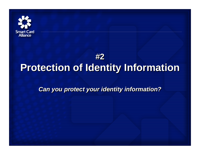

#### **#2#2Protection of Identity Information Protection of Identity Information**

*Can you protect your identity information? Can you protect your identity information?*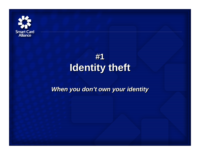

### **#1#1 Identity theft Identity theft**

#### *When you don't own your identity When you don't own your identity*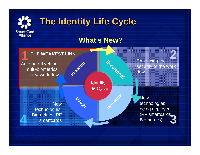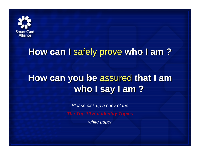

#### **How can I** safely prove **who I am ? How can I** safely prove **who I am ?**

#### **How can you be** assured **that I am How can you be** assured **that I am who I say I am ? who I say I am ?**

*Please pick up a copy of the* 

*The Top 10 Hot Identity Topics*

*white paper*